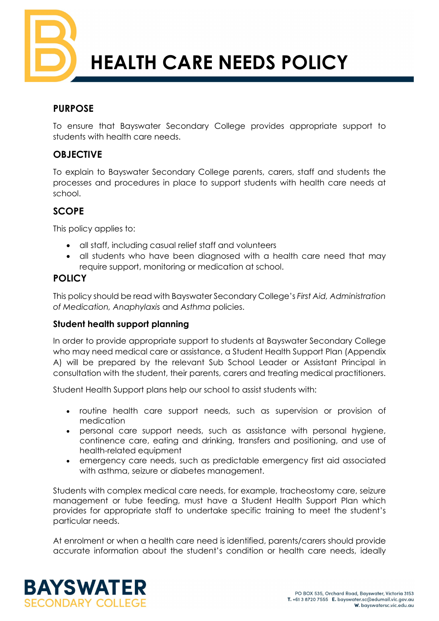

# **HEALTH CARE NEEDS POLICY**

## **PURPOSE**

To ensure that Bayswater Secondary College provides appropriate support to students with health care needs.

## **OBJECTIVE**

To explain to Bayswater Secondary College parents, carers, staff and students the processes and procedures in place to support students with health care needs at school.

# **SCOPE**

This policy applies to:

- all staff, including casual relief staff and volunteers
- all students who have been diagnosed with a health care need that may require support, monitoring or medication at school.

# **POLICY**

This policy should be read with Bayswater Secondary College's *First Aid, Administration of Medication, Anaphylaxis* and *Asthma* policies.

## **Student health support planning**

In order to provide appropriate support to students at Bayswater Secondary College who may need medical care or assistance, a Student Health Support Plan (Appendix A) will be prepared by the relevant Sub School Leader or Assistant Principal in consultation with the student, their parents, carers and treating medical practitioners.

Student Health Support plans help our school to assist students with:

- routine health care support needs, such as supervision or provision of medication
- personal care support needs, such as assistance with personal hygiene, continence care, eating and drinking, transfers and positioning, and use of health-related equipment
- emergency care needs, such as predictable emergency first aid associated with asthma, seizure or diabetes management.

Students with complex medical care needs, for example, tracheostomy care, seizure management or tube feeding, must have a Student Health Support Plan which provides for appropriate staff to undertake specific training to meet the student's particular needs.

At enrolment or when a health care need is identified, parents/carers should provide accurate information about the student's condition or health care needs, ideally

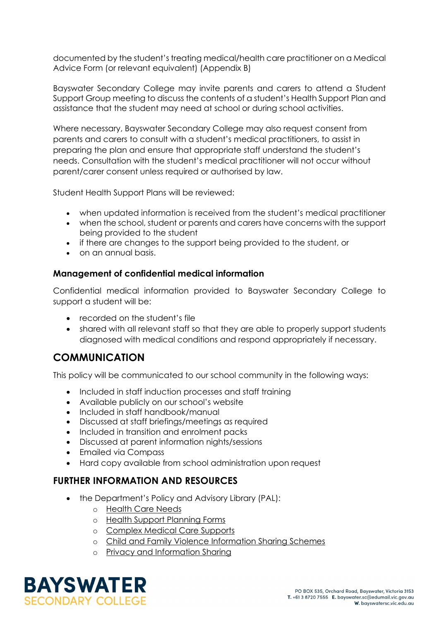documented by the student's treating medical/health care practitioner on a Medical Advice Form (or relevant equivalent) (Appendix B)

Bayswater Secondary College may invite parents and carers to attend a Student Support Group meeting to discuss the contents of a student's Health Support Plan and assistance that the student may need at school or during school activities.

Where necessary, Bayswater Secondary College may also request consent from parents and carers to consult with a student's medical practitioners, to assist in preparing the plan and ensure that appropriate staff understand the student's needs. Consultation with the student's medical practitioner will not occur without parent/carer consent unless required or authorised by law.

Student Health Support Plans will be reviewed:

- when updated information is received from the student's medical practitioner
- when the school, student or parents and carers have concerns with the support being provided to the student
- if there are changes to the support being provided to the student, or
- on an annual basis.

#### **Management of confidential medical information**

Confidential medical information provided to Bayswater Secondary College to support a student will be:

- recorded on the student's file
- shared with all relevant staff so that they are able to properly support students diagnosed with medical conditions and respond appropriately if necessary.

# **COMMUNICATION**

This policy will be communicated to our school community in the following ways:

- Included in staff induction processes and staff training
- Available publicly on our school's website
- Included in staff handbook/manual
- Discussed at staff briefings/meetings as required
- Included in transition and enrolment packs
- Discussed at parent information nights/sessions
- Emailed via Compass
- Hard copy available from school administration upon request

#### **FURTHER INFORMATION AND RESOURCES**

- the Department's Policy and Advisory Library (PAL):
	- o [Health Care Needs](https://www2.education.vic.gov.au/pal/health-care-needs/policy)
	- o [Health Support Planning Forms](https://www2.education.vic.gov.au/pal/health-care-needs/resources)
	- o [Complex Medical Care Supports](https://www2.education.vic.gov.au/pal/health-care-needs/guidance/complex-medical-care-supports)
	- o [Child and Family Violence Information Sharing Schemes](https://www2.education.vic.gov.au/pal/information-sharing-schemes/policy)
	- o [Privacy and Information Sharing](https://www2.education.vic.gov.au/pal/privacy-information-sharing/policy)